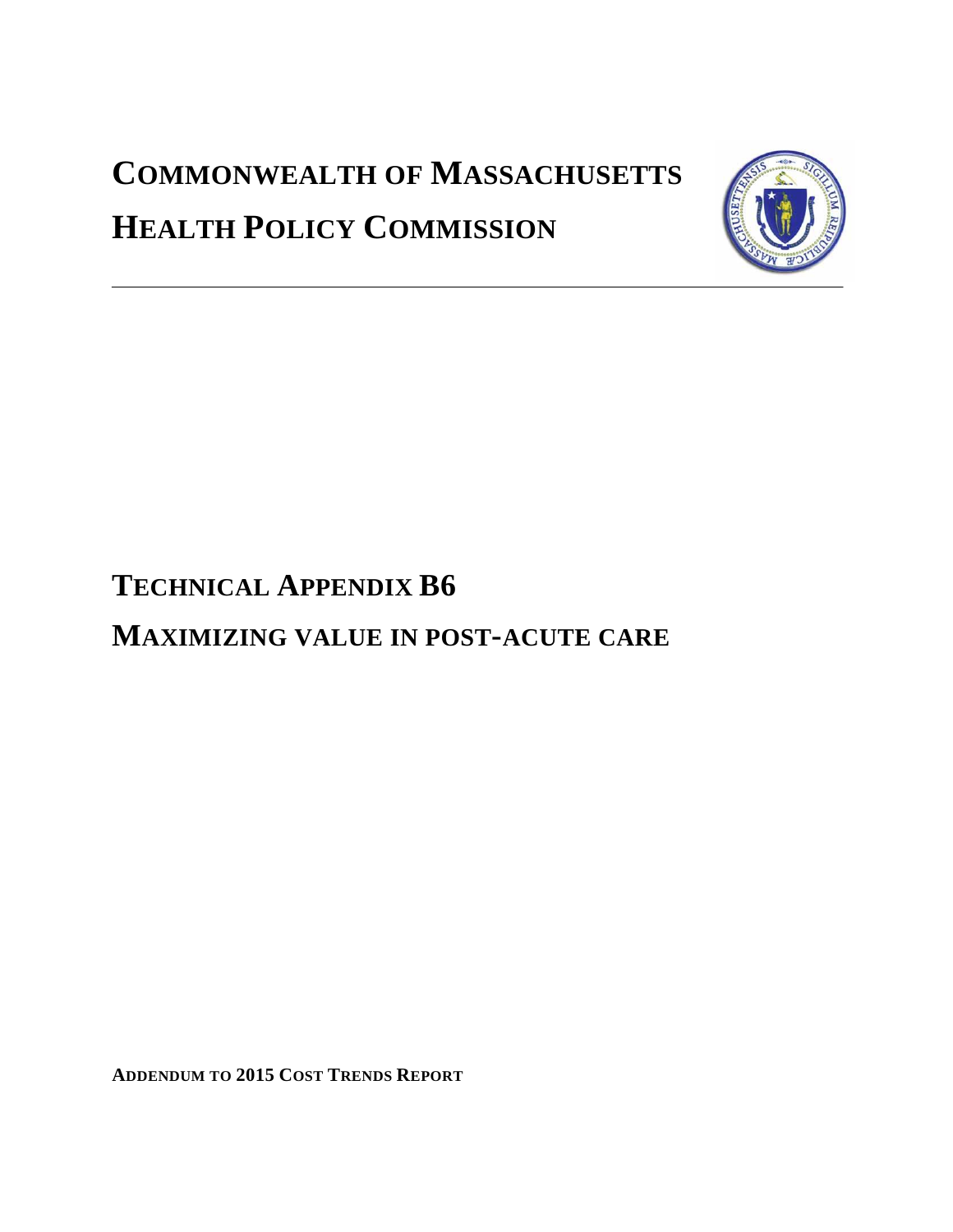# **COMMONWEALTH OF MASSACHUSETTS HEALTH POLICY COMMISSION**



# **TECHNICAL APPENDIX B6**

## **MAXIMIZING VALUE IN POST-ACUTE CARE**

**ADDENDUM TO 2015 COST TRENDS REPORT**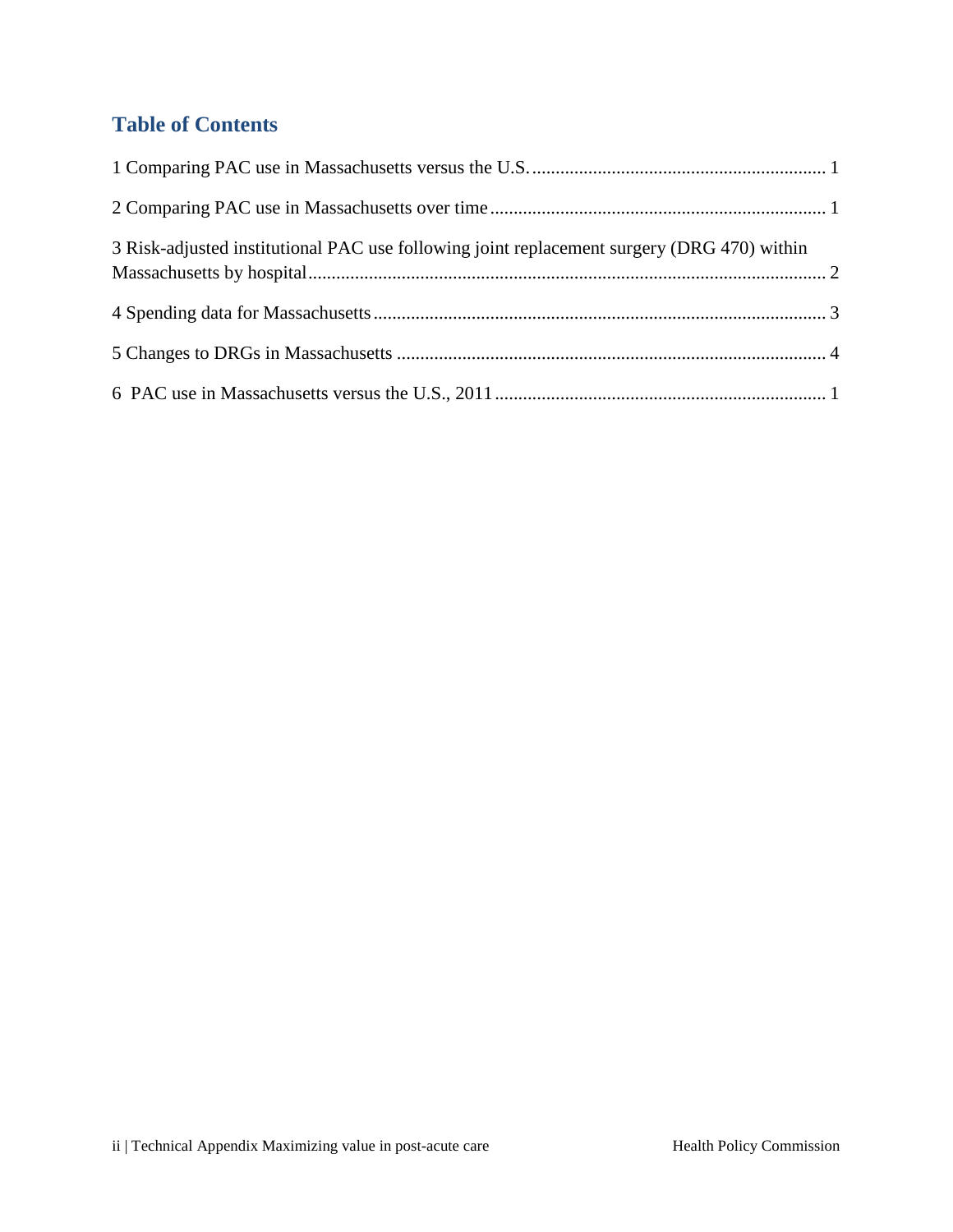### **Table of Contents**

| 3 Risk-adjusted institutional PAC use following joint replacement surgery (DRG 470) within |  |
|--------------------------------------------------------------------------------------------|--|
|                                                                                            |  |
|                                                                                            |  |
|                                                                                            |  |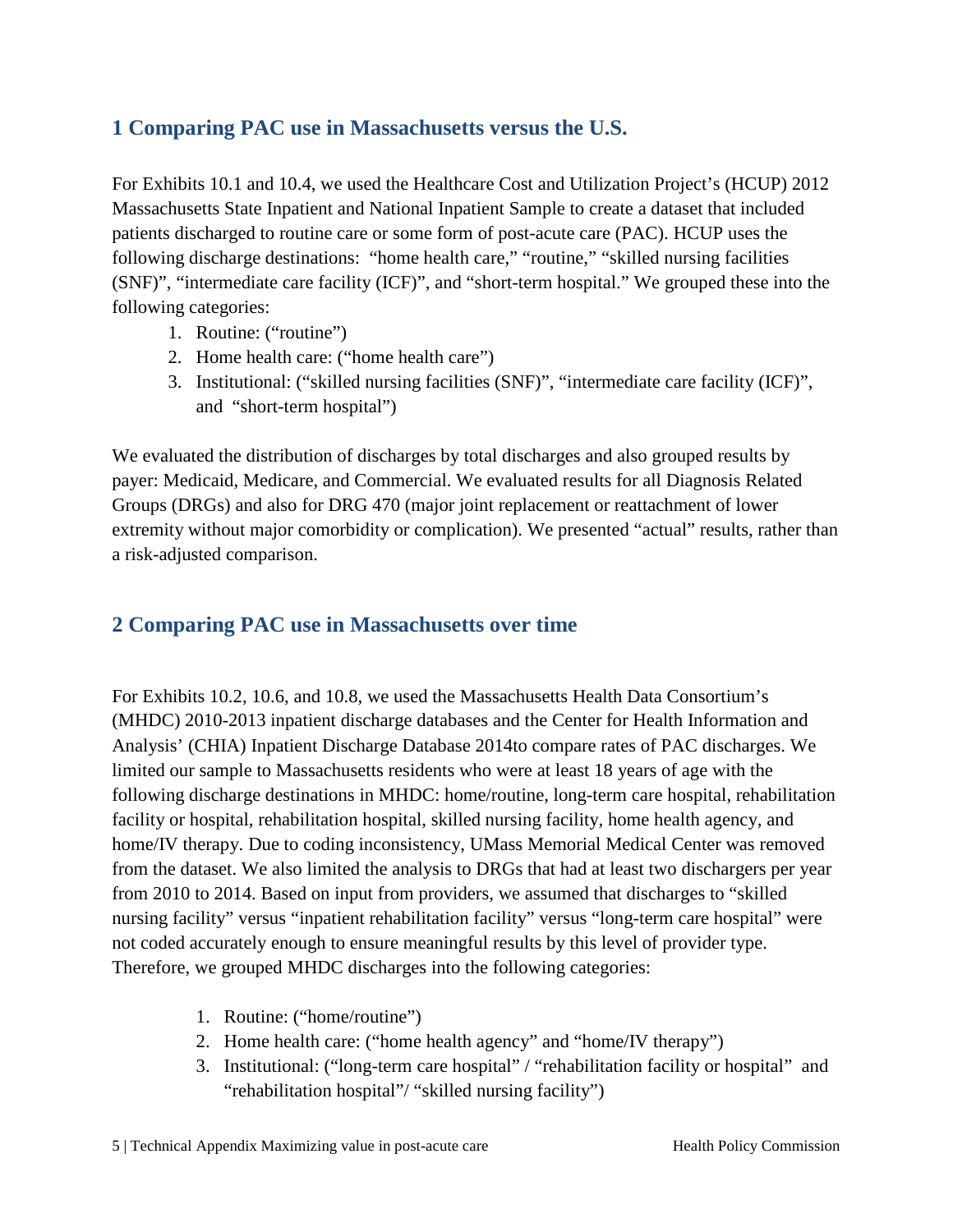#### <span id="page-2-0"></span>**1 Comparing PAC use in Massachusetts versus the U.S.**

For Exhibits 10.1 and 10.4, we used the Healthcare Cost and Utilization Project's (HCUP) 2012 Massachusetts State Inpatient and National Inpatient Sample to create a dataset that included patients discharged to routine care or some form of post-acute care (PAC). HCUP uses the following discharge destinations: "home health care," "routine," "skilled nursing facilities (SNF)", "intermediate care facility (ICF)", and "short-term hospital." We grouped these into the following categories:

- 1. Routine: ("routine")
- 2. Home health care: ("home health care")
- 3. Institutional: ("skilled nursing facilities (SNF)", "intermediate care facility (ICF)", and "short-term hospital")

We evaluated the distribution of discharges by total discharges and also grouped results by payer: Medicaid, Medicare, and Commercial. We evaluated results for all Diagnosis Related Groups (DRGs) and also for DRG 470 (major joint replacement or reattachment of lower extremity without major comorbidity or complication). We presented "actual" results, rather than a risk-adjusted comparison.

#### <span id="page-2-1"></span>**2 Comparing PAC use in Massachusetts over time**

For Exhibits 10.2, 10.6, and 10.8, we used the Massachusetts Health Data Consortium's (MHDC) 2010-2013 inpatient discharge databases and the Center for Health Information and Analysis' (CHIA) Inpatient Discharge Database 2014to compare rates of PAC discharges. We limited our sample to Massachusetts residents who were at least 18 years of age with the following discharge destinations in MHDC: home/routine, long-term care hospital, rehabilitation facility or hospital, rehabilitation hospital, skilled nursing facility, home health agency, and home/IV therapy. Due to coding inconsistency, UMass Memorial Medical Center was removed from the dataset. We also limited the analysis to DRGs that had at least two dischargers per year from 2010 to 2014. Based on input from providers, we assumed that discharges to "skilled nursing facility" versus "inpatient rehabilitation facility" versus "long-term care hospital" were not coded accurately enough to ensure meaningful results by this level of provider type. Therefore, we grouped MHDC discharges into the following categories:

- 1. Routine: ("home/routine")
- 2. Home health care: ("home health agency" and "home/IV therapy")
- 3. Institutional: ("long-term care hospital" / "rehabilitation facility or hospital" and "rehabilitation hospital"/ "skilled nursing facility")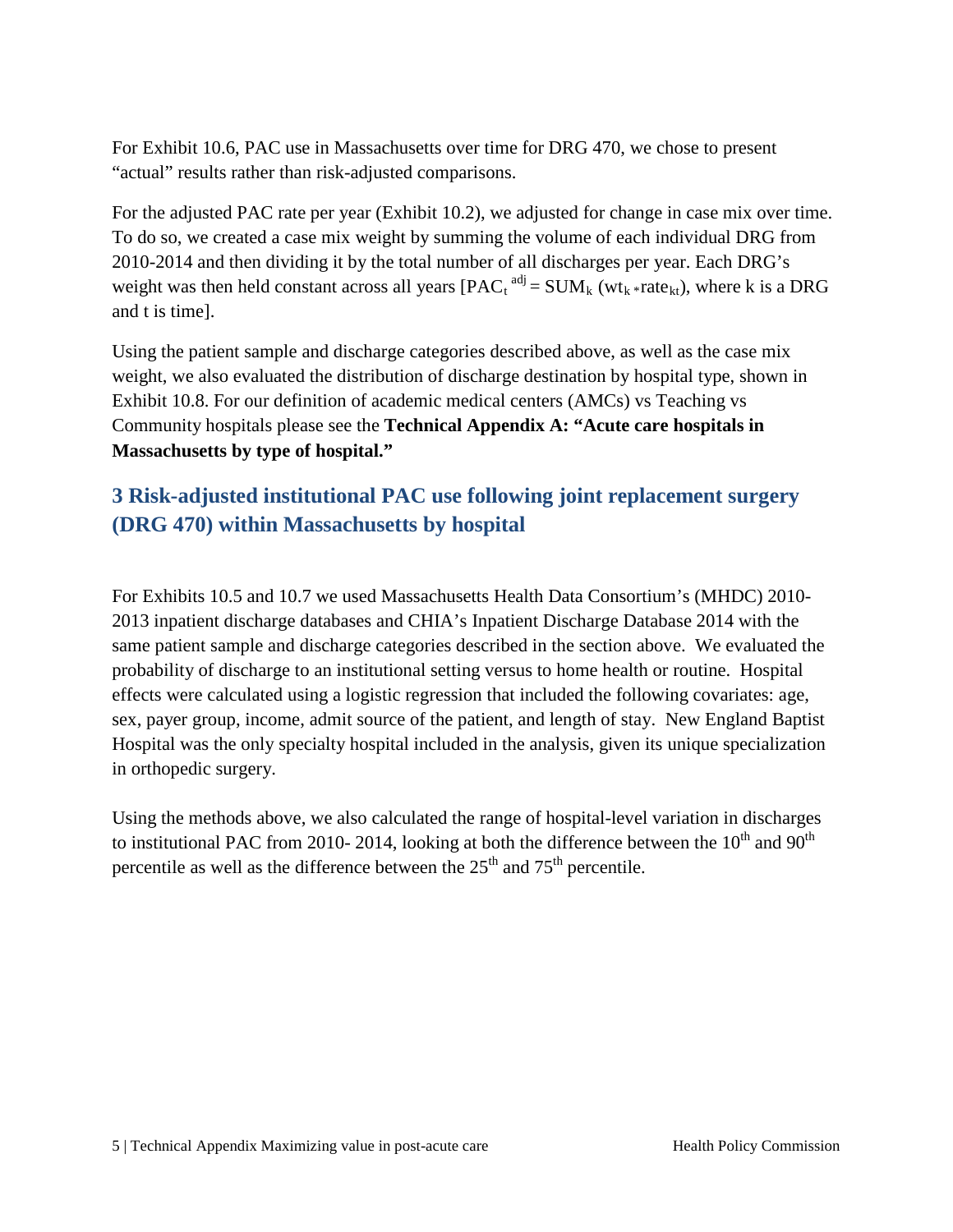For Exhibit 10.6, PAC use in Massachusetts over time for DRG 470, we chose to present "actual" results rather than risk-adjusted comparisons.

For the adjusted PAC rate per year (Exhibit 10.2), we adjusted for change in case mix over time. To do so, we created a case mix weight by summing the volume of each individual DRG from 2010-2014 and then dividing it by the total number of all discharges per year. Each DRG's weight was then held constant across all years  $[{\rm PAC}_t^{\text{adj}} = {\rm SUM}_k$  (wt<sub>k</sub>\*rate<sub>kt</sub>), where k is a DRG and t is time].

Using the patient sample and discharge categories described above, as well as the case mix weight, we also evaluated the distribution of discharge destination by hospital type, shown in Exhibit 10.8. For our definition of academic medical centers (AMCs) vs Teaching vs Community hospitals please see the **Technical Appendix A: "Acute care hospitals in Massachusetts by type of hospital."**

### <span id="page-3-0"></span>**3 Risk-adjusted institutional PAC use following joint replacement surgery (DRG 470) within Massachusetts by hospital**

For Exhibits 10.5 and 10.7 we used Massachusetts Health Data Consortium's (MHDC) 2010- 2013 inpatient discharge databases and CHIA's Inpatient Discharge Database 2014 with the same patient sample and discharge categories described in the section above. We evaluated the probability of discharge to an institutional setting versus to home health or routine. Hospital effects were calculated using a logistic regression that included the following covariates: age, sex, payer group, income, admit source of the patient, and length of stay. New England Baptist Hospital was the only specialty hospital included in the analysis, given its unique specialization in orthopedic surgery.

Using the methods above, we also calculated the range of hospital-level variation in discharges to institutional PAC from 2010- 2014, looking at both the difference between the  $10<sup>th</sup>$  and  $90<sup>th</sup>$ percentile as well as the difference between the  $25<sup>th</sup>$  and  $75<sup>th</sup>$  percentile.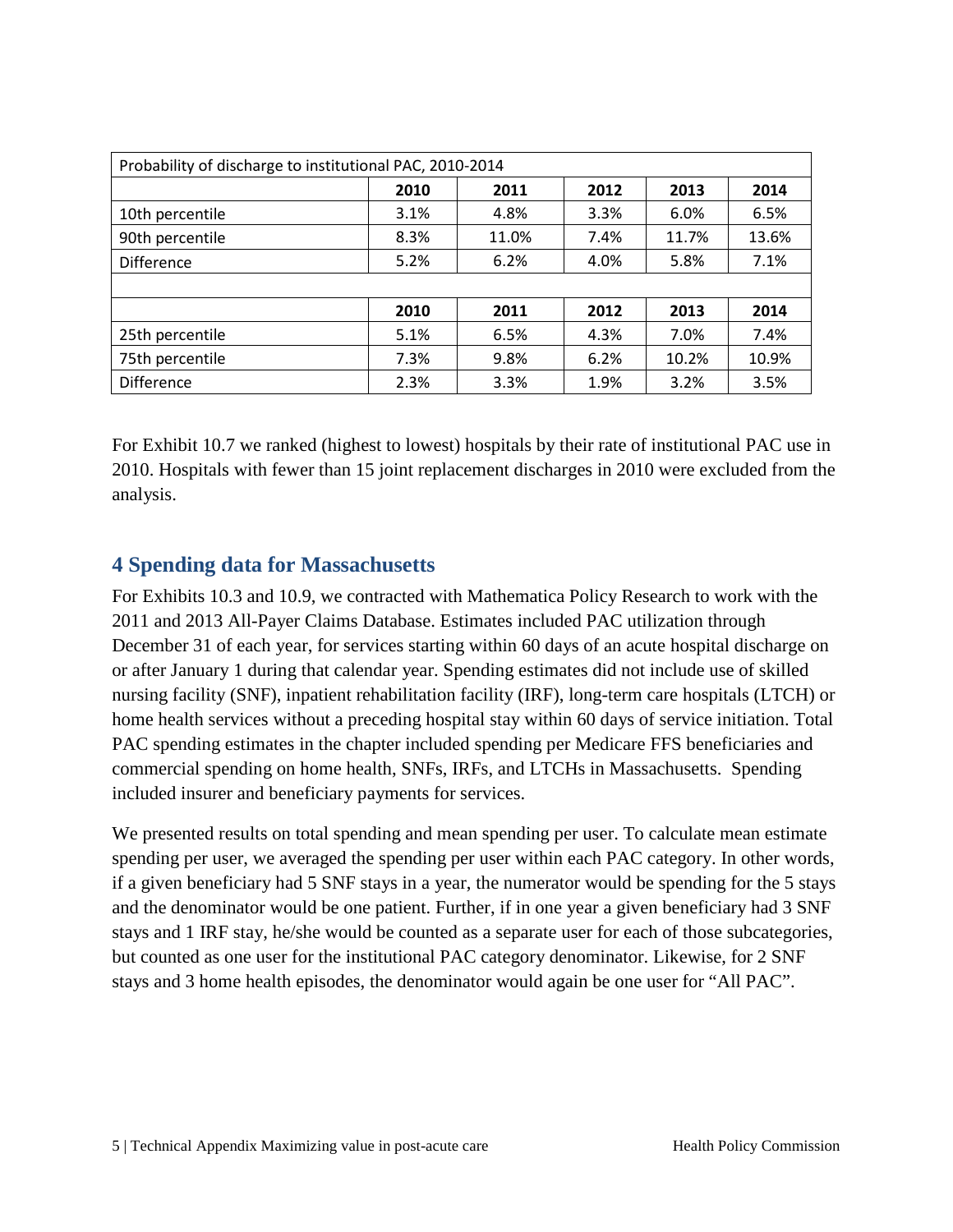| Probability of discharge to institutional PAC, 2010-2014 |      |       |      |       |       |  |  |  |  |  |  |
|----------------------------------------------------------|------|-------|------|-------|-------|--|--|--|--|--|--|
|                                                          | 2010 | 2011  | 2012 | 2013  | 2014  |  |  |  |  |  |  |
| 10th percentile                                          | 3.1% | 4.8%  | 3.3% | 6.0%  | 6.5%  |  |  |  |  |  |  |
| 90th percentile                                          | 8.3% | 11.0% | 7.4% | 11.7% | 13.6% |  |  |  |  |  |  |
| <b>Difference</b>                                        | 5.2% | 6.2%  | 4.0% | 5.8%  | 7.1%  |  |  |  |  |  |  |
|                                                          |      |       |      |       |       |  |  |  |  |  |  |
|                                                          | 2010 | 2011  | 2013 | 2014  |       |  |  |  |  |  |  |
| 25th percentile                                          | 5.1% | 6.5%  | 4.3% | 7.0%  | 7.4%  |  |  |  |  |  |  |
| 75th percentile                                          | 7.3% | 9.8%  | 6.2% | 10.2% | 10.9% |  |  |  |  |  |  |
| Difference                                               | 2.3% | 3.3%  | 1.9% | 3.2%  | 3.5%  |  |  |  |  |  |  |

For Exhibit 10.7 we ranked (highest to lowest) hospitals by their rate of institutional PAC use in 2010. Hospitals with fewer than 15 joint replacement discharges in 2010 were excluded from the analysis.

#### <span id="page-4-0"></span>**4 Spending data for Massachusetts**

For Exhibits 10.3 and 10.9, we contracted with Mathematica Policy Research to work with the 2011 and 2013 All-Payer Claims Database. Estimates included PAC utilization through December 31 of each year, for services starting within 60 days of an acute hospital discharge on or after January 1 during that calendar year. Spending estimates did not include use of skilled nursing facility (SNF), inpatient rehabilitation facility (IRF), long-term care hospitals (LTCH) or home health services without a preceding hospital stay within 60 days of service initiation. Total PAC spending estimates in the chapter included spending per Medicare FFS beneficiaries and commercial spending on home health, SNFs, IRFs, and LTCHs in Massachusetts. Spending included insurer and beneficiary payments for services.

We presented results on total spending and mean spending per user. To calculate mean estimate spending per user, we averaged the spending per user within each PAC category. In other words, if a given beneficiary had 5 SNF stays in a year, the numerator would be spending for the 5 stays and the denominator would be one patient. Further, if in one year a given beneficiary had 3 SNF stays and 1 IRF stay, he/she would be counted as a separate user for each of those subcategories, but counted as one user for the institutional PAC category denominator. Likewise, for 2 SNF stays and 3 home health episodes, the denominator would again be one user for "All PAC".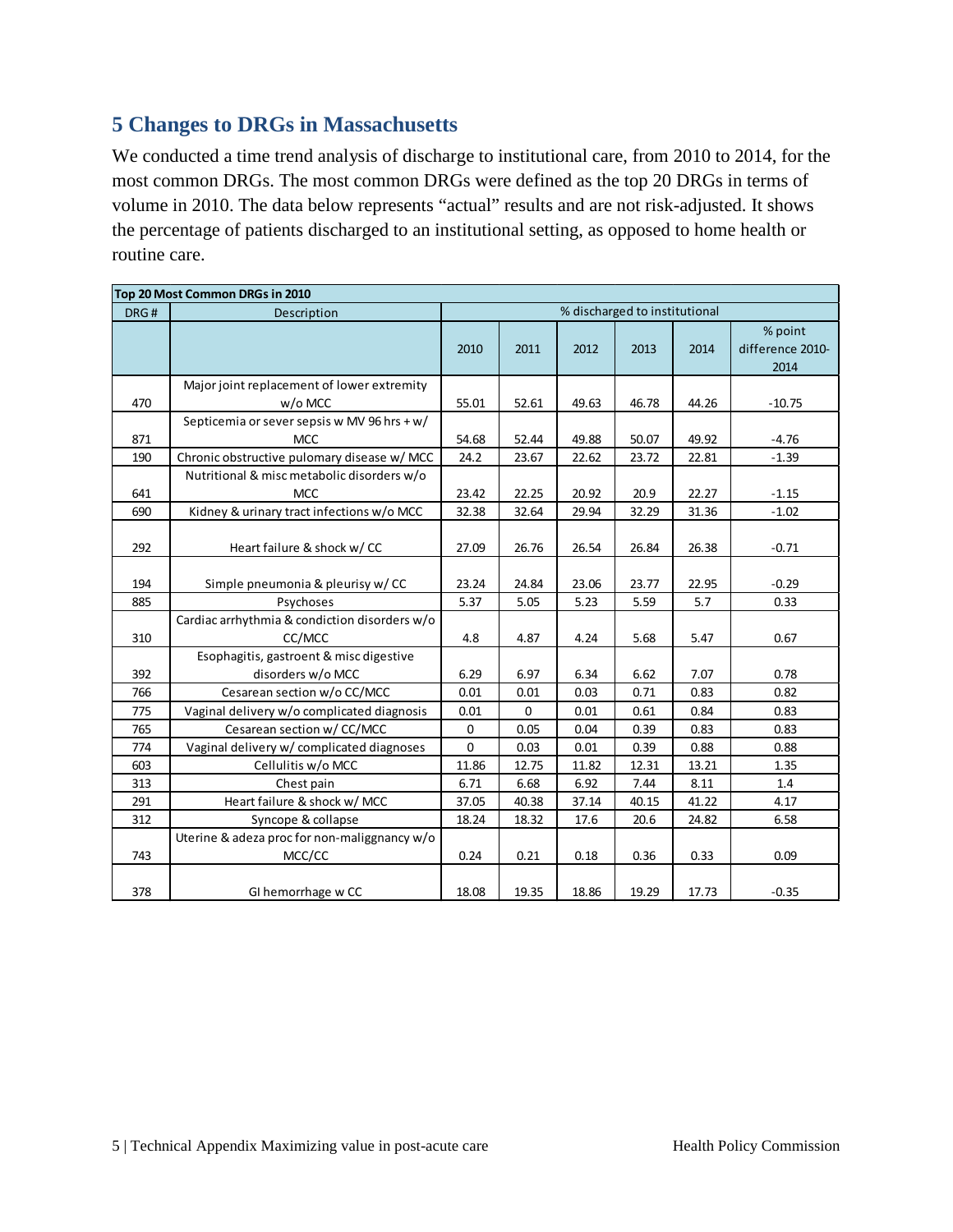#### <span id="page-5-0"></span>**5 Changes to DRGs in Massachusetts**

We conducted a time trend analysis of discharge to institutional care, from 2010 to 2014, for the most common DRGs. The most common DRGs were defined as the top 20 DRGs in terms of volume in 2010. The data below represents "actual" results and are not risk-adjusted. It shows the percentage of patients discharged to an institutional setting, as opposed to home health or routine care.

| Top 20 Most Common DRGs in 2010 |                                                              |             |       |       |       |       |                                     |  |  |  |
|---------------------------------|--------------------------------------------------------------|-------------|-------|-------|-------|-------|-------------------------------------|--|--|--|
| DRG#                            | % discharged to institutional<br>Description                 |             |       |       |       |       |                                     |  |  |  |
|                                 |                                                              | 2010        | 2011  |       | 2013  | 2014  | % point<br>difference 2010-<br>2014 |  |  |  |
| 470                             | Major joint replacement of lower extremity<br>w/o MCC        | 55.01       | 52.61 | 49.63 | 46.78 | 44.26 | $-10.75$                            |  |  |  |
| 871                             | Septicemia or sever sepsis w MV 96 hrs + w/<br><b>MCC</b>    | 54.68       | 52.44 | 49.88 | 50.07 | 49.92 | $-4.76$                             |  |  |  |
| 190                             | Chronic obstructive pulomary disease w/ MCC                  | 24.2        | 23.67 | 22.62 | 23.72 | 22.81 | $-1.39$                             |  |  |  |
| 641                             | Nutritional & misc metabolic disorders w/o<br><b>MCC</b>     | 23.42       | 22.25 | 20.92 | 20.9  | 22.27 | $-1.15$                             |  |  |  |
| 690                             | Kidney & urinary tract infections w/o MCC                    | 32.38       | 32.64 | 29.94 | 32.29 | 31.36 | $-1.02$                             |  |  |  |
| 292                             | Heart failure & shock w/CC                                   | 27.09       | 26.76 | 26.54 | 26.84 | 26.38 | $-0.71$                             |  |  |  |
| 194                             | Simple pneumonia & pleurisy w/CC                             | 23.24       | 24.84 | 23.06 | 23.77 | 22.95 | $-0.29$                             |  |  |  |
| 885                             | Psychoses                                                    | 5.37        | 5.05  | 5.23  | 5.59  | 5.7   | 0.33                                |  |  |  |
| 310                             | Cardiac arrhythmia & condiction disorders w/o<br>CC/MCC      | 4.8         | 4.87  | 4.24  | 5.68  | 5.47  | 0.67                                |  |  |  |
| 392                             | Esophagitis, gastroent & misc digestive<br>disorders w/o MCC | 6.29        | 6.97  | 6.34  | 6.62  | 7.07  | 0.78                                |  |  |  |
| 766                             | Cesarean section w/o CC/MCC                                  | 0.01        | 0.01  | 0.03  | 0.71  | 0.83  | 0.82                                |  |  |  |
| 775                             | Vaginal delivery w/o complicated diagnosis                   | 0.01        | 0     | 0.01  | 0.61  | 0.84  | 0.83                                |  |  |  |
| 765                             | Cesarean section w/ CC/MCC                                   | $\mathbf 0$ | 0.05  | 0.04  | 0.39  | 0.83  | 0.83                                |  |  |  |
| 774                             | Vaginal delivery w/ complicated diagnoses                    | 0           | 0.03  | 0.01  | 0.39  | 0.88  | 0.88                                |  |  |  |
| 603                             | Cellulitis w/o MCC                                           | 11.86       | 12.75 | 11.82 | 12.31 | 13.21 | 1.35                                |  |  |  |
| 313                             | Chest pain                                                   | 6.71        | 6.68  | 6.92  | 7.44  | 8.11  | 1.4                                 |  |  |  |
| 291                             | Heart failure & shock w/ MCC                                 | 37.05       | 40.38 | 37.14 | 40.15 | 41.22 | 4.17                                |  |  |  |
| 312                             | Syncope & collapse                                           | 18.24       | 18.32 | 17.6  | 20.6  | 24.82 | 6.58                                |  |  |  |
| 743                             | Uterine & adeza proc for non-maliggnancy w/o<br>MCC/CC       | 0.24        | 0.21  | 0.18  | 0.36  | 0.33  | 0.09                                |  |  |  |
| 378                             | GI hemorrhage w CC                                           | 18.08       | 19.35 | 18.86 | 19.29 | 17.73 | $-0.35$                             |  |  |  |